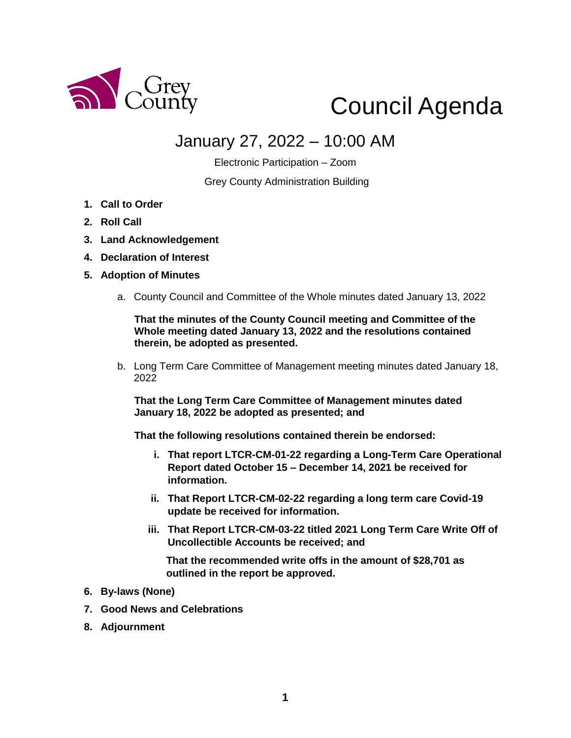

# Council Agenda

# January 27, 2022 – 10:00 AM

Electronic Participation – Zoom

Grey County Administration Building

- **1. Call to Order**
- **2. Roll Call**
- **3. Land Acknowledgement**
- **4. Declaration of Interest**
- **5. Adoption of Minutes** 
	- a. County Council and Committee of the Whole minutes dated January 13, 2022

**That the minutes of the County Council meeting and Committee of the Whole meeting dated January 13, 2022 and the resolutions contained therein, be adopted as presented.** 

b. Long Term Care Committee of Management meeting minutes dated January 18, 2022

**That the Long Term Care Committee of Management minutes dated January 18, 2022 be adopted as presented; and**

**That the following resolutions contained therein be endorsed:**

- **i. That report LTCR-CM-01-22 regarding a Long-Term Care Operational Report dated October 15 – December 14, 2021 be received for information.**
- **ii. That Report LTCR-CM-02-22 regarding a long term care Covid-19 update be received for information.**
- **iii. That Report LTCR-CM-03-22 titled 2021 Long Term Care Write Off of Uncollectible Accounts be received; and**

**That the recommended write offs in the amount of \$28,701 as outlined in the report be approved.**

- **6. By-laws (None)**
- **7. Good News and Celebrations**
- **8. Adjournment**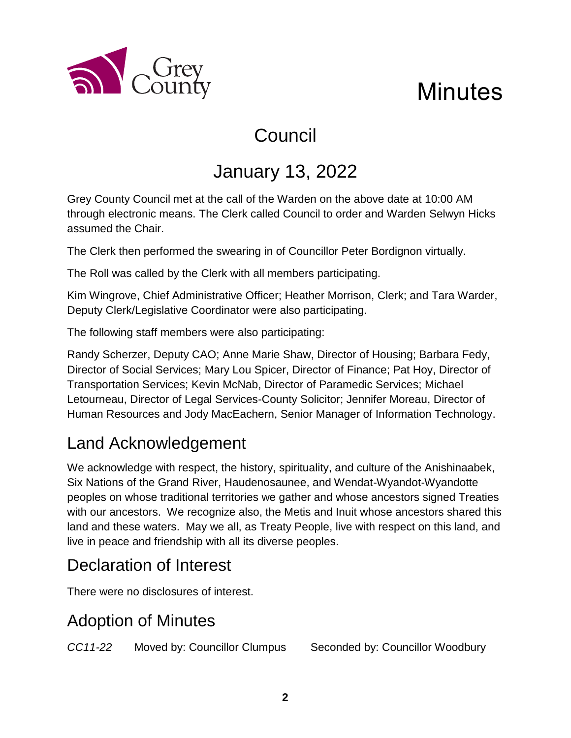

# Council

# January 13, 2022

Grey County Council met at the call of the Warden on the above date at 10:00 AM through electronic means. The Clerk called Council to order and Warden Selwyn Hicks assumed the Chair.

The Clerk then performed the swearing in of Councillor Peter Bordignon virtually.

The Roll was called by the Clerk with all members participating.

Kim Wingrove, Chief Administrative Officer; Heather Morrison, Clerk; and Tara Warder, Deputy Clerk/Legislative Coordinator were also participating.

The following staff members were also participating:

Randy Scherzer, Deputy CAO; Anne Marie Shaw, Director of Housing; Barbara Fedy, Director of Social Services; Mary Lou Spicer, Director of Finance; Pat Hoy, Director of Transportation Services; Kevin McNab, Director of Paramedic Services; Michael Letourneau, Director of Legal Services-County Solicitor; Jennifer Moreau, Director of Human Resources and Jody MacEachern, Senior Manager of Information Technology.

# Land Acknowledgement

a County

We acknowledge with respect, the history, spirituality, and culture of the Anishinaabek, Six Nations of the Grand River, Haudenosaunee, and Wendat-Wyandot-Wyandotte peoples on whose traditional territories we gather and whose ancestors signed Treaties with our ancestors. We recognize also, the Metis and Inuit whose ancestors shared this land and these waters. May we all, as Treaty People, live with respect on this land, and live in peace and friendship with all its diverse peoples.

# Declaration of Interest

There were no disclosures of interest.

# Adoption of Minutes

*CC11-22* Moved by: Councillor Clumpus Seconded by: Councillor Woodbury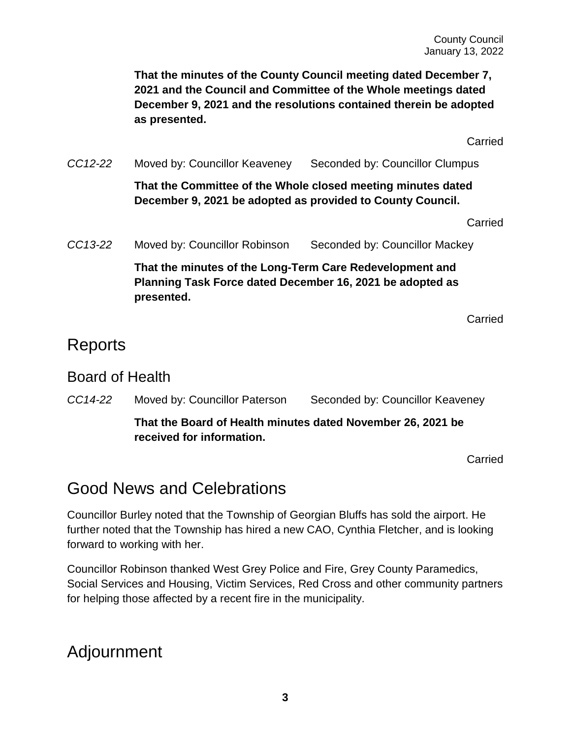**That the minutes of the County Council meeting dated December 7, 2021 and the Council and Committee of the Whole meetings dated December 9, 2021 and the resolutions contained therein be adopted as presented.**

Carried

*CC12-22* Moved by: Councillor Keaveney Seconded by: Councillor Clumpus

**That the Committee of the Whole closed meeting minutes dated December 9, 2021 be adopted as provided to County Council.**

Carried

*CC13-22* Moved by: Councillor Robinson Seconded by: Councillor Mackey

**That the minutes of the Long-Term Care Redevelopment and Planning Task Force dated December 16, 2021 be adopted as presented.**

Carried

## Reports

#### Board of Health

*CC14-22* Moved by: Councillor Paterson Seconded by: Councillor Keaveney

**That the Board of Health minutes dated November 26, 2021 be received for information.**

Carried

# Good News and Celebrations

Councillor Burley noted that the Township of Georgian Bluffs has sold the airport. He further noted that the Township has hired a new CAO, Cynthia Fletcher, and is looking forward to working with her.

Councillor Robinson thanked West Grey Police and Fire, Grey County Paramedics, Social Services and Housing, Victim Services, Red Cross and other community partners for helping those affected by a recent fire in the municipality.

## Adjournment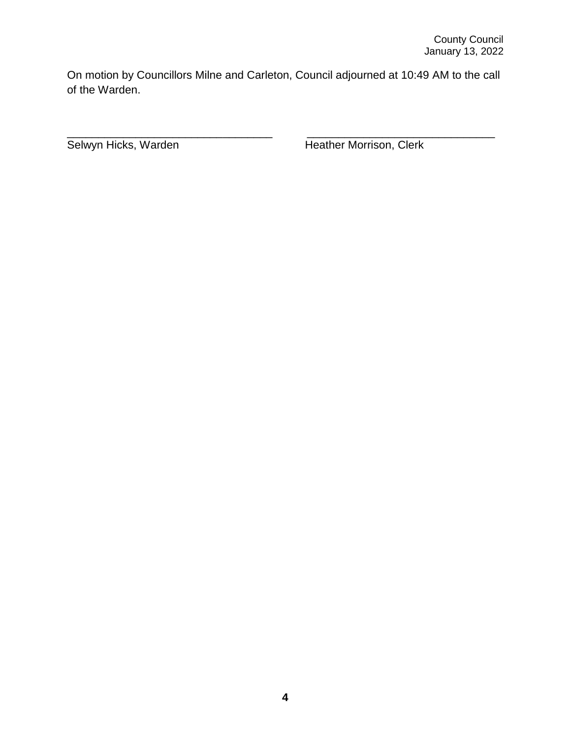On motion by Councillors Milne and Carleton, Council adjourned at 10:49 AM to the call of the Warden.

\_\_\_\_\_\_\_\_\_\_\_\_\_\_\_\_\_\_\_\_\_\_\_\_\_\_\_\_\_\_\_\_\_ \_\_\_\_\_\_\_\_\_\_\_\_\_\_\_\_\_\_\_\_\_\_\_\_\_\_\_\_\_\_

Selwyn Hicks, Warden Heather Morrison, Clerk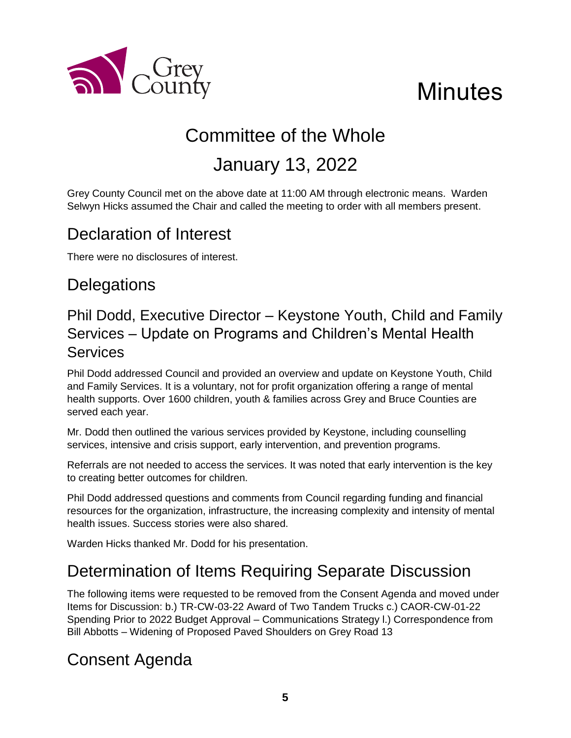

# **Minutes**

# Committee of the Whole

# January 13, 2022

Grey County Council met on the above date at 11:00 AM through electronic means. Warden Selwyn Hicks assumed the Chair and called the meeting to order with all members present.

# Declaration of Interest

There were no disclosures of interest.

# **Delegations**

## Phil Dodd, Executive Director – Keystone Youth, Child and Family Services – Update on Programs and Children's Mental Health Services

Phil Dodd addressed Council and provided an overview and update on Keystone Youth, Child and Family Services. It is a voluntary, not for profit organization offering a range of mental health supports. Over 1600 children, youth & families across Grey and Bruce Counties are served each year.

Mr. Dodd then outlined the various services provided by Keystone, including counselling services, intensive and crisis support, early intervention, and prevention programs.

Referrals are not needed to access the services. It was noted that early intervention is the key to creating better outcomes for children.

Phil Dodd addressed questions and comments from Council regarding funding and financial resources for the organization, infrastructure, the increasing complexity and intensity of mental health issues. Success stories were also shared.

Warden Hicks thanked Mr. Dodd for his presentation.

# Determination of Items Requiring Separate Discussion

The following items were requested to be removed from the Consent Agenda and moved under Items for Discussion: b.) TR-CW-03-22 Award of Two Tandem Trucks c.) CAOR-CW-01-22 Spending Prior to 2022 Budget Approval – Communications Strategy l.) Correspondence from Bill Abbotts – Widening of Proposed Paved Shoulders on Grey Road 13

# Consent Agenda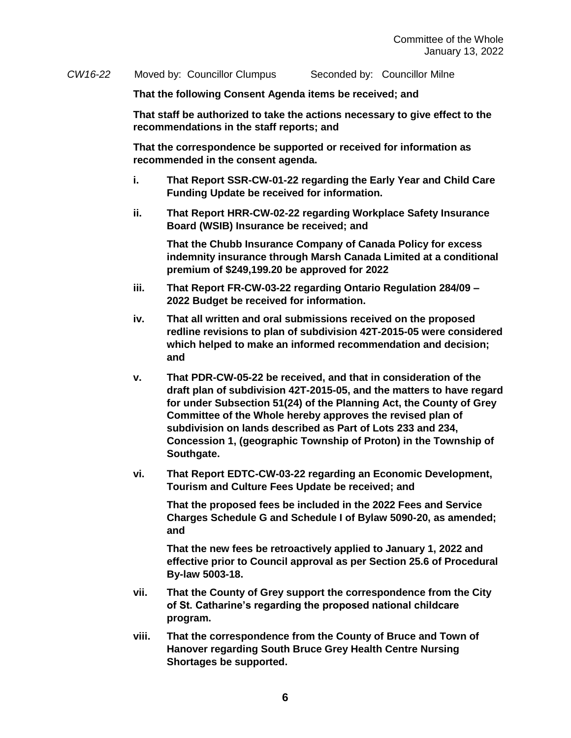*CW16-22* Moved by: Councillor Clumpus Seconded by: Councillor Milne

**That the following Consent Agenda items be received; and**

**That staff be authorized to take the actions necessary to give effect to the recommendations in the staff reports; and**

**That the correspondence be supported or received for information as recommended in the consent agenda.** 

- **i. That Report SSR-CW-01-22 regarding the Early Year and Child Care Funding Update be received for information.**
- **ii. That Report HRR-CW-02-22 regarding Workplace Safety Insurance Board (WSIB) Insurance be received; and**

**That the Chubb Insurance Company of Canada Policy for excess indemnity insurance through Marsh Canada Limited at a conditional premium of \$249,199.20 be approved for 2022**

- **iii. That Report FR-CW-03-22 regarding Ontario Regulation 284/09 – 2022 Budget be received for information.**
- **iv. That all written and oral submissions received on the proposed redline revisions to plan of subdivision 42T-2015-05 were considered which helped to make an informed recommendation and decision; and**
- **v. That PDR-CW-05-22 be received, and that in consideration of the draft plan of subdivision 42T-2015-05, and the matters to have regard for under Subsection 51(24) of the Planning Act, the County of Grey Committee of the Whole hereby approves the revised plan of subdivision on lands described as Part of Lots 233 and 234, Concession 1, (geographic Township of Proton) in the Township of Southgate.**
- **vi. That Report EDTC-CW-03-22 regarding an Economic Development, Tourism and Culture Fees Update be received; and**

**That the proposed fees be included in the 2022 Fees and Service Charges Schedule G and Schedule I of Bylaw 5090-20, as amended; and**

**That the new fees be retroactively applied to January 1, 2022 and effective prior to Council approval as per Section 25.6 of Procedural By-law 5003-18.**

- **vii. That the County of Grey support the correspondence from the City of St. Catharine's regarding the proposed national childcare program.**
- **viii. That the correspondence from the County of Bruce and Town of Hanover regarding South Bruce Grey Health Centre Nursing Shortages be supported.**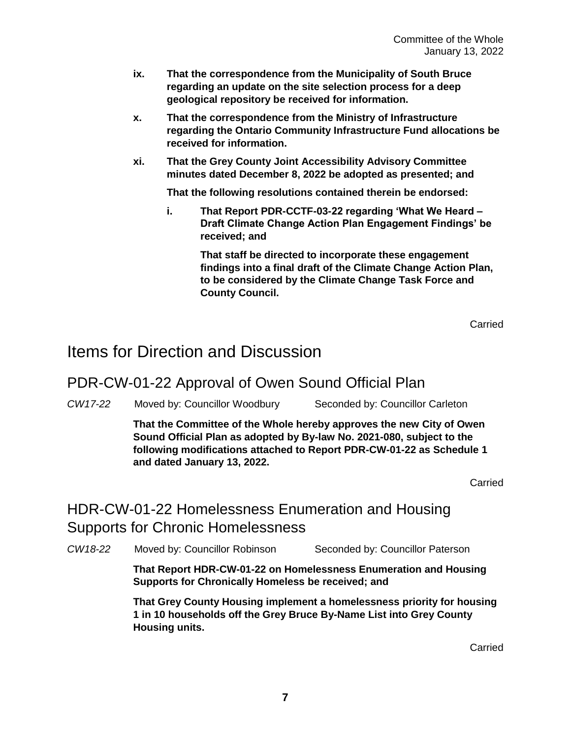- **ix. That the correspondence from the Municipality of South Bruce regarding an update on the site selection process for a deep geological repository be received for information.**
- **x. That the correspondence from the Ministry of Infrastructure regarding the Ontario Community Infrastructure Fund allocations be received for information.**
- **xi. That the Grey County Joint Accessibility Advisory Committee minutes dated December 8, 2022 be adopted as presented; and**

**That the following resolutions contained therein be endorsed:**

**i. That Report PDR-CCTF-03-22 regarding 'What We Heard – Draft Climate Change Action Plan Engagement Findings' be received; and**

> **That staff be directed to incorporate these engagement findings into a final draft of the Climate Change Action Plan, to be considered by the Climate Change Task Force and County Council.**

> > Carried

## Items for Direction and Discussion

#### PDR-CW-01-22 Approval of Owen Sound Official Plan

*CW17-22* Moved by: Councillor Woodbury Seconded by: Councillor Carleton

**That the Committee of the Whole hereby approves the new City of Owen Sound Official Plan as adopted by By-law No. 2021-080, subject to the following modifications attached to Report PDR-CW-01-22 as Schedule 1 and dated January 13, 2022.**

Carried

### HDR-CW-01-22 Homelessness Enumeration and Housing Supports for Chronic Homelessness

*CW18-22* Moved by: Councillor Robinson Seconded by: Councillor Paterson

**That Report HDR-CW-01-22 on Homelessness Enumeration and Housing Supports for Chronically Homeless be received; and**

**That Grey County Housing implement a homelessness priority for housing 1 in 10 households off the Grey Bruce By-Name List into Grey County Housing units.**

Carried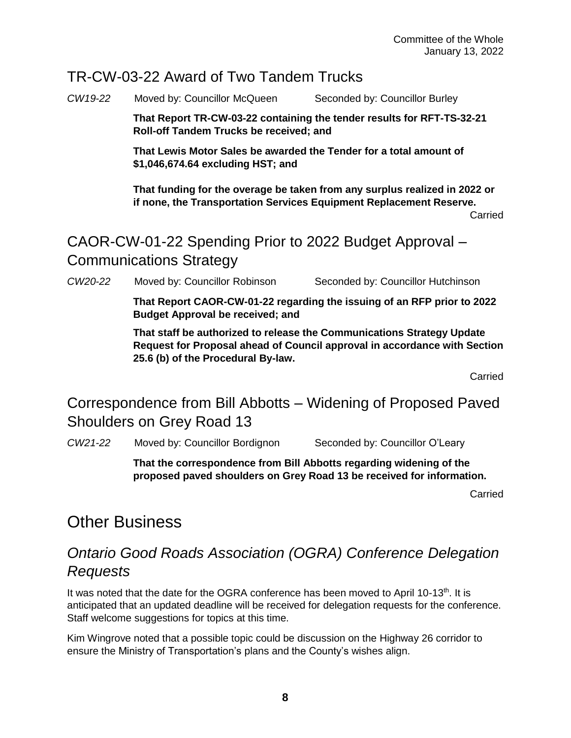#### TR-CW-03-22 Award of Two Tandem Trucks

*CW19-22* Moved by: Councillor McQueen Seconded by: Councillor Burley

**That Report TR-CW-03-22 containing the tender results for RFT-TS-32-21 Roll-off Tandem Trucks be received; and**

**That Lewis Motor Sales be awarded the Tender for a total amount of \$1,046,674.64 excluding HST; and**

**That funding for the overage be taken from any surplus realized in 2022 or if none, the Transportation Services Equipment Replacement Reserve.**

Carried

CAOR-CW-01-22 Spending Prior to 2022 Budget Approval – Communications Strategy

*CW20-22* Moved by: Councillor Robinson Seconded by: Councillor Hutchinson

**That Report CAOR-CW-01-22 regarding the issuing of an RFP prior to 2022 Budget Approval be received; and**

**That staff be authorized to release the Communications Strategy Update Request for Proposal ahead of Council approval in accordance with Section 25.6 (b) of the Procedural By-law.**

Carried

Correspondence from Bill Abbotts – Widening of Proposed Paved Shoulders on Grey Road 13

*CW21-22* Moved by: Councillor Bordignon Seconded by: Councillor O'Leary

**That the correspondence from Bill Abbotts regarding widening of the proposed paved shoulders on Grey Road 13 be received for information.** 

Carried

## Other Business

## *Ontario Good Roads Association (OGRA) Conference Delegation Requests*

It was noted that the date for the OGRA conference has been moved to April 10-13th. It is anticipated that an updated deadline will be received for delegation requests for the conference. Staff welcome suggestions for topics at this time.

Kim Wingrove noted that a possible topic could be discussion on the Highway 26 corridor to ensure the Ministry of Transportation's plans and the County's wishes align.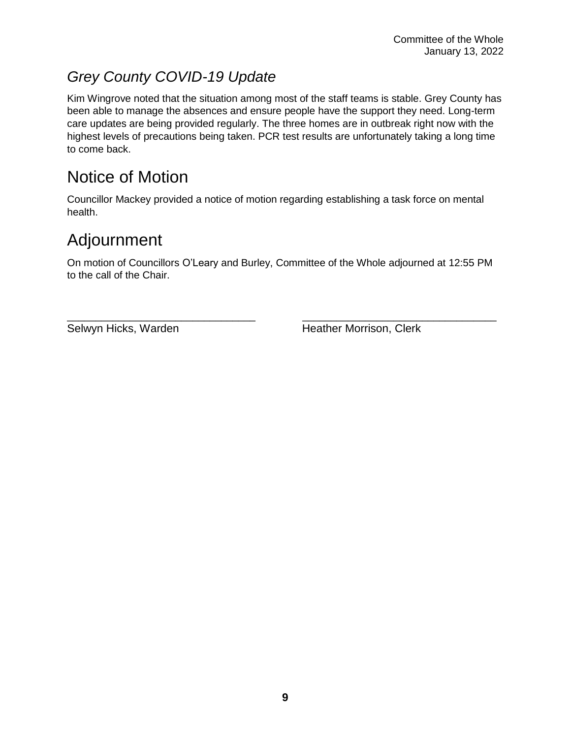# *Grey County COVID-19 Update*

Kim Wingrove noted that the situation among most of the staff teams is stable. Grey County has been able to manage the absences and ensure people have the support they need. Long-term care updates are being provided regularly. The three homes are in outbreak right now with the highest levels of precautions being taken. PCR test results are unfortunately taking a long time to come back.

# Notice of Motion

Councillor Mackey provided a notice of motion regarding establishing a task force on mental health.

# Adjournment

On motion of Councillors O'Leary and Burley, Committee of the Whole adjourned at 12:55 PM to the call of the Chair.

\_\_\_\_\_\_\_\_\_\_\_\_\_\_\_\_\_\_\_\_\_\_\_\_\_\_\_\_\_\_\_\_\_ \_\_\_\_\_\_\_\_\_\_\_\_\_\_\_\_\_\_\_\_\_\_\_\_\_\_\_\_\_\_\_\_\_\_

Selwyn Hicks, Warden **Heather Morrison**, Clerk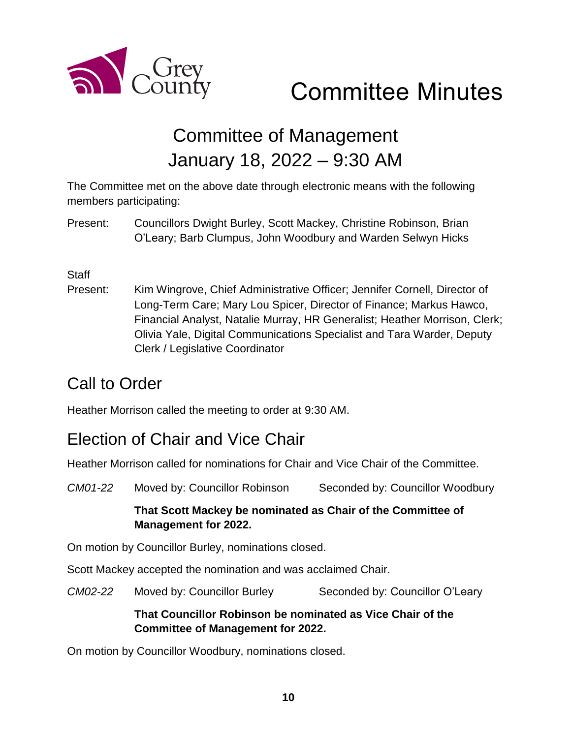

# Committee Minutes

# Committee of Management January 18, 2022 – 9:30 AM

The Committee met on the above date through electronic means with the following members participating:

Present: Councillors Dwight Burley, Scott Mackey, Christine Robinson, Brian O'Leary; Barb Clumpus, John Woodbury and Warden Selwyn Hicks

#### **Staff**

Present: Kim Wingrove, Chief Administrative Officer; Jennifer Cornell, Director of Long-Term Care; Mary Lou Spicer, Director of Finance; Markus Hawco, Financial Analyst, Natalie Murray, HR Generalist; Heather Morrison, Clerk; Olivia Yale, Digital Communications Specialist and Tara Warder, Deputy Clerk / Legislative Coordinator

## Call to Order

Heather Morrison called the meeting to order at 9:30 AM.

## Election of Chair and Vice Chair

Heather Morrison called for nominations for Chair and Vice Chair of the Committee.

*CM01-22* Moved by: Councillor Robinson Seconded by: Councillor Woodbury **That Scott Mackey be nominated as Chair of the Committee of Management for 2022.**  On motion by Councillor Burley, nominations closed. Scott Mackey accepted the nomination and was acclaimed Chair. *CM02-22* Moved by: Councillor Burley Seconded by: Councillor O'Leary **That Councillor Robinson be nominated as Vice Chair of the Committee of Management for 2022.**

On motion by Councillor Woodbury, nominations closed.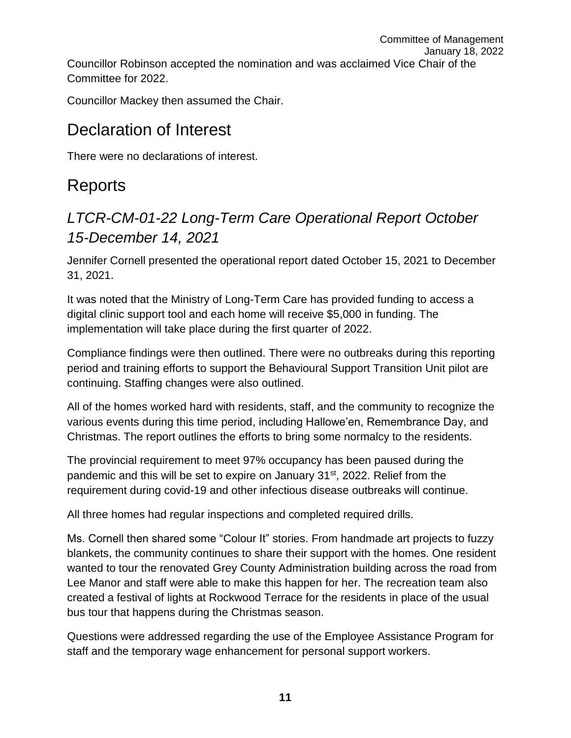Committee of Management January 18, 2022 Councillor Robinson accepted the nomination and was acclaimed Vice Chair of the Committee for 2022.

Councillor Mackey then assumed the Chair.

## Declaration of Interest

There were no declarations of interest.

# Reports

## *LTCR-CM-01-22 Long-Term Care Operational Report October 15-December 14, 2021*

Jennifer Cornell presented the operational report dated October 15, 2021 to December 31, 2021.

It was noted that the Ministry of Long-Term Care has provided funding to access a digital clinic support tool and each home will receive \$5,000 in funding. The implementation will take place during the first quarter of 2022.

Compliance findings were then outlined. There were no outbreaks during this reporting period and training efforts to support the Behavioural Support Transition Unit pilot are continuing. Staffing changes were also outlined.

All of the homes worked hard with residents, staff, and the community to recognize the various events during this time period, including Hallowe'en, Remembrance Day, and Christmas. The report outlines the efforts to bring some normalcy to the residents.

The provincial requirement to meet 97% occupancy has been paused during the pandemic and this will be set to expire on January 31st, 2022. Relief from the requirement during covid-19 and other infectious disease outbreaks will continue.

All three homes had regular inspections and completed required drills.

Ms. Cornell then shared some "Colour It" stories. From handmade art projects to fuzzy blankets, the community continues to share their support with the homes. One resident wanted to tour the renovated Grey County Administration building across the road from Lee Manor and staff were able to make this happen for her. The recreation team also created a festival of lights at Rockwood Terrace for the residents in place of the usual bus tour that happens during the Christmas season.

Questions were addressed regarding the use of the Employee Assistance Program for staff and the temporary wage enhancement for personal support workers.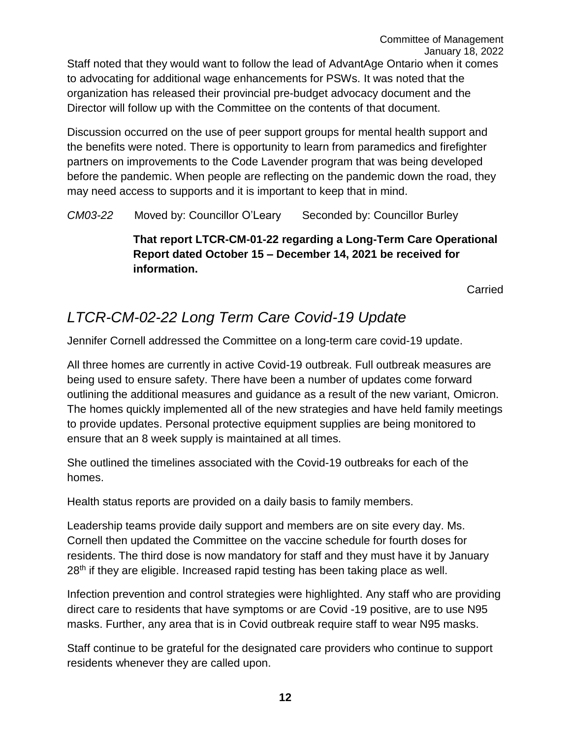Staff noted that they would want to follow the lead of AdvantAge Ontario when it comes to advocating for additional wage enhancements for PSWs. It was noted that the organization has released their provincial pre-budget advocacy document and the Director will follow up with the Committee on the contents of that document.

Discussion occurred on the use of peer support groups for mental health support and the benefits were noted. There is opportunity to learn from paramedics and firefighter partners on improvements to the Code Lavender program that was being developed before the pandemic. When people are reflecting on the pandemic down the road, they may need access to supports and it is important to keep that in mind.

*CM03-22* Moved by: Councillor O'Leary Seconded by: Councillor Burley

**That report LTCR-CM-01-22 regarding a Long-Term Care Operational Report dated October 15 – December 14, 2021 be received for information.** 

Carried

## *LTCR-CM-02-22 Long Term Care Covid-19 Update*

Jennifer Cornell addressed the Committee on a long-term care covid-19 update.

All three homes are currently in active Covid-19 outbreak. Full outbreak measures are being used to ensure safety. There have been a number of updates come forward outlining the additional measures and guidance as a result of the new variant, Omicron. The homes quickly implemented all of the new strategies and have held family meetings to provide updates. Personal protective equipment supplies are being monitored to ensure that an 8 week supply is maintained at all times.

She outlined the timelines associated with the Covid-19 outbreaks for each of the homes.

Health status reports are provided on a daily basis to family members.

Leadership teams provide daily support and members are on site every day. Ms. Cornell then updated the Committee on the vaccine schedule for fourth doses for residents. The third dose is now mandatory for staff and they must have it by January 28<sup>th</sup> if they are eligible. Increased rapid testing has been taking place as well.

Infection prevention and control strategies were highlighted. Any staff who are providing direct care to residents that have symptoms or are Covid -19 positive, are to use N95 masks. Further, any area that is in Covid outbreak require staff to wear N95 masks.

Staff continue to be grateful for the designated care providers who continue to support residents whenever they are called upon.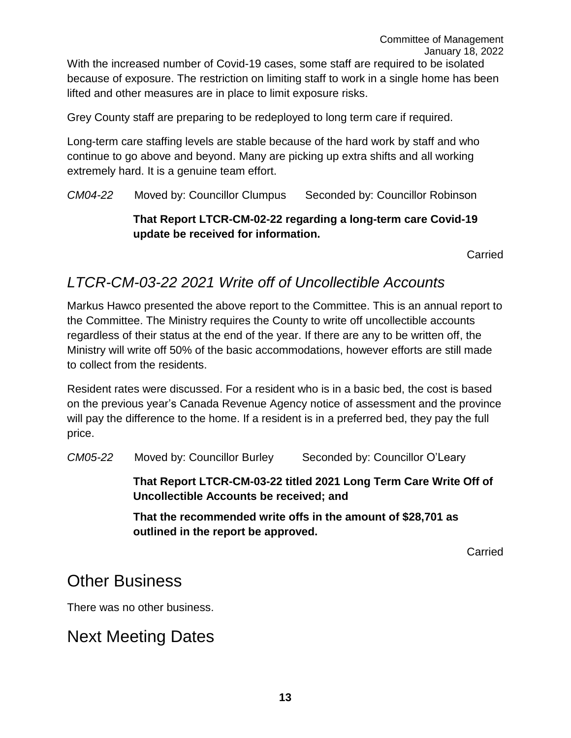Grey County staff are preparing to be redeployed to long term care if required.

Long-term care staffing levels are stable because of the hard work by staff and who continue to go above and beyond. Many are picking up extra shifts and all working extremely hard. It is a genuine team effort.

*CM04-22* Moved by: Councillor Clumpus Seconded by: Councillor Robinson

#### **That Report LTCR-CM-02-22 regarding a long-term care Covid-19 update be received for information.**

Carried

### *LTCR-CM-03-22 2021 Write off of Uncollectible Accounts*

Markus Hawco presented the above report to the Committee. This is an annual report to the Committee. The Ministry requires the County to write off uncollectible accounts regardless of their status at the end of the year. If there are any to be written off, the Ministry will write off 50% of the basic accommodations, however efforts are still made to collect from the residents.

Resident rates were discussed. For a resident who is in a basic bed, the cost is based on the previous year's Canada Revenue Agency notice of assessment and the province will pay the difference to the home. If a resident is in a preferred bed, they pay the full price.

*CM05-22* Moved by: Councillor Burley Seconded by: Councillor O'Leary

**That Report LTCR-CM-03-22 titled 2021 Long Term Care Write Off of Uncollectible Accounts be received; and**

**That the recommended write offs in the amount of \$28,701 as outlined in the report be approved.**

Carried

## Other Business

There was no other business.

# Next Meeting Dates